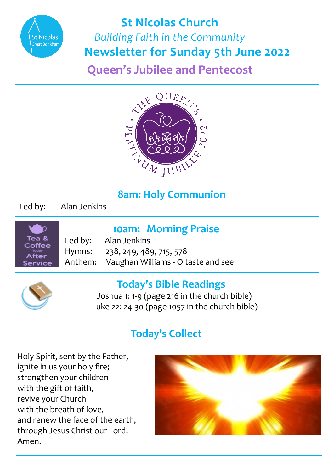

# **St Nicolas Church**  *Building Faith in the Community*  **Newsletter for Sunday 5th June 2022**

**Queen's Jubilee and Pentecost**



# **8am: Holy Communion**

Led by: Alan Jenkins



 **10am: Morning Praise**

Led by: Alan Jenkins Hymns: 238, 249, 489, 715, 578 Anthem: Vaughan Williams - O taste and see



### **Today's Bible Readings**

 Joshua 1: 1-9 (page 216 in the church bible) Luke 22: 24-30 (page 1057 in the church bible)

## **Today's Collect**

Holy Spirit, sent by the Father, ignite in us your holy fire; strengthen your children with the gift of faith, revive your Church with the breath of love, and renew the face of the earth, through Jesus Christ our Lord. Amen.

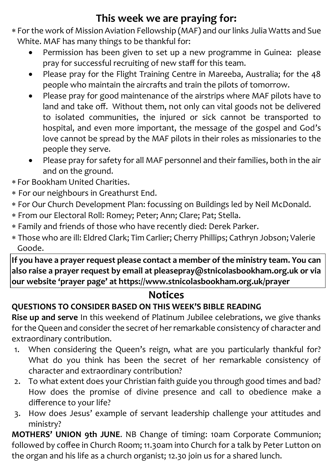# **This week we are praying for:**

- For the work of Mission Aviation Fellowship (MAF) and our links Julia Watts and Sue White. MAF has many things to be thankful for:
	- Permission has been given to set up a new programme in Guinea: please pray for successful recruiting of new staff for this team.
	- Please pray for the Flight Training Centre in Mareeba, Australia; for the 48 people who maintain the aircrafts and train the pilots of tomorrow.
	- Please pray for good maintenance of the airstrips where MAF pilots have to land and take off. Without them, not only can vital goods not be delivered to isolated communities, the injured or sick cannot be transported to hospital, and even more important, the message of the gospel and God's love cannot be spread by the MAF pilots in their roles as missionaries to the people they serve.
	- Please pray for safety for all MAF personnel and their families, both in the air and on the ground.
- For Bookham United Charities.
- For our neighbours in Greathurst End.
- For Our Church Development Plan: focussing on Buildings led by Neil McDonald.
- From our Electoral Roll: Romey; Peter; Ann; Clare; Pat; Stella.
- Family and friends of those who have recently died: Derek Parker.
- Those who are ill: Eldred Clark; Tim Carlier; Cherry Phillips; Cathryn Jobson; Valerie Goode.

**If you have a prayer request please contact a member of the ministry team. You can also raise a prayer request by email at pleasepray@stnicolasbookham.org.uk or via our website 'prayer page' at https://www.stnicolasbookham.org.uk/prayer**

#### **Notices**

#### **QUESTIONS TO CONSIDER BASED ON THIS WEEK'S BIBLE READING**

**Rise up and serve** In this weekend of Platinum Jubilee celebrations, we give thanks for the Queen and consider the secret of her remarkable consistency of character and extraordinary contribution.

- 1. When considering the Queen's reign, what are you particularly thankful for? What do you think has been the secret of her remarkable consistency of character and extraordinary contribution?
- 2. To what extent does your Christian faith guide you through good times and bad? How does the promise of divine presence and call to obedience make a difference to your life?
- 3. How does Jesus' example of servant leadership challenge your attitudes and ministry?

**MOTHERS' UNION 9th JUNE**. NB Change of timing: 10am Corporate Communion; followed by coffee in Church Room; 11.30am into Church for a talk by Peter Lutton on the organ and his life as a church organist; 12.30 join us for a shared lunch.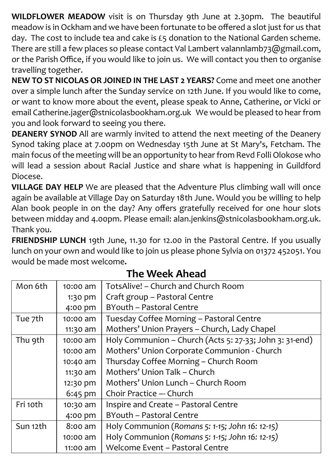**WILDFLOWER MEADOW** visit is on Thursday 9th June at 2.30pm. The beautiful meadow is in Ockham and we have been fortunate to be offered a slot just for us that day. The cost to include tea and cake is £5 donation to the National Garden scheme. There are still a few places so please contact Val Lambert valannlamb73@gmail.com, or the Parish Office, if you would like to join us. We will contact you then to organise travelling together.

**NEW TO ST NICOLAS OR JOINED IN THE LAST 2 YEARS?** Come and meet one another over a simple lunch after the Sunday service on 12th June. If you would like to come, or want to know more about the event, please speak to Anne, Catherine, or Vicki or email Catherine.jager@stnicolasbookham.org.uk We would be pleased to hear from you and look forward to seeing you there.

**DEANERY SYNOD** All are warmly invited to attend the next meeting of the Deanery Synod taking place at 7.00pm on Wednesday 15th June at St Mary's, Fetcham. The main focus of the meeting will be an opportunity to hear from Revd Folli Olokose who will lead a session about Racial Justice and share what is happening in Guildford Diocese.

**VILLAGE DAY HELP** We are pleased that the Adventure Plus climbing wall will once again be available at Village Day on Saturday 18th June. Would you be willing to help Alan book people in on the day? Any offers gratefully received for one hour slots between midday and 4.00pm. Please email: alan.jenkins@stnicolasbookham.org.uk. Thank you.

**FRIENDSHIP LUNCH** 19th June, 11.30 for 12.00 in the Pastoral Centre. If you usually lunch on your own and would like to join us please phone Sylvia on 01372 452051. You would be made most welcome**.**

| Mon 6th  | $10:00$ am | TotsAlive! – Church and Church Room                     |
|----------|------------|---------------------------------------------------------|
|          | 1:30 pm    | Craft group - Pastoral Centre                           |
|          | 4:00 pm    | BYouth - Pastoral Centre                                |
| Tue 7th  | 10:00 am   | Tuesday Coffee Morning - Pastoral Centre                |
|          | $11:30$ am | Mothers' Union Prayers - Church, Lady Chapel            |
| Thu 9th  | $10:00$ am | Holy Communion - Church (Acts 5: 27-33; John 3: 31-end) |
|          | 10:00 am   | Mothers' Union Corporate Communion - Church             |
|          | 10:40 am   | Thursday Coffee Morning - Church Room                   |
|          | 11:30 am   | Mothers' Union Talk - Church                            |
|          | 12:30 pm   | Mothers' Union Lunch - Church Room                      |
|          | $6:45$ pm  | Choir Practice -- Church                                |
| Fri 10th | 10:30 am   | Inspire and Create - Pastoral Centre                    |
|          | 4:00 pm    | BYouth - Pastoral Centre                                |
| Sun 12th | 8:00 am    | Holy Communion (Romans 5: 1-15; John 16: 12-15)         |
|          | 10:00 am   | Holy Communion (Romans 5: 1-15; John 16: 12-15)         |
|          | 11:00 am   | Welcome Event - Pastoral Centre                         |

### **The Week Ahead**